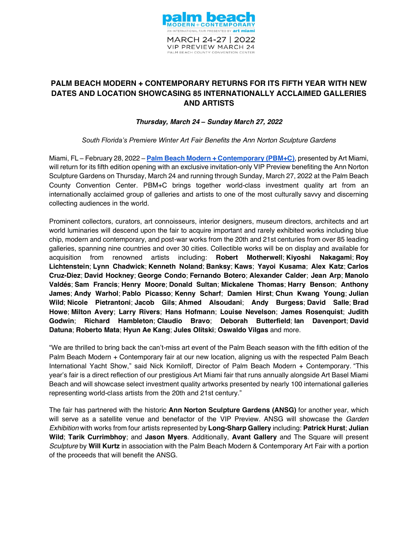

# **PALM BEACH MODERN + CONTEMPORARY RETURNS FOR ITS FIFTH YEAR WITH NEW DATES AND LOCATION SHOWCASING 85 INTERNATIONALLY ACCLAIMED GALLERIES AND ARTISTS**

# *Thursday, March 24 ± Sunday March 27, 2022*

South Florida's Premiere Winter Art Fair Benefits the Ann Norton Sculpture Gardens

Miami, FL - February 28, 2022 - [Palm Beach Modern + Contemporary](https://www.artpbfair.com/) (PBM+C), presented by Art Miami, will return for its fifth edition opening with an exclusive invitation-only VIP Preview benefiting the Ann Norton Sculpture Gardens on Thursday, March 24 and running through Sunday, March 27, 2022 at the Palm Beach County Convention Center. PBM+C brings together world-class investment quality art from an internationally acclaimed group of galleries and artists to one of the most culturally savvy and discerning collecting audiences in the world.

Prominent collectors, curators, art connoisseurs, interior designers, museum directors, architects and art world luminaries will descend upon the fair to acquire important and rarely exhibited works including blue chip, modern and contemporary, and post-war works from the 20th and 21st centuries from over 85 leading galleries, spanning nine countries and over 30 cities. Collectible works will be on display and available for acquisition from renowned artists including: **Robert Motherwell**; **Kiyoshi Nakagami**; **Roy Lichtenstein**; **Lynn Chadwick**; **Kenneth Noland**; **Banksy**; **Kaws**; **Yayoi Kusama**; **Alex Katz**; **Carlos Cruz-Diez**; **David Hockney**; **George Condo**; **Fernando Botero**; **Alexander Calder**; **Jean Arp**; **Manolo Valdés**; **Sam Francis**; **Henry Moore**; **Donald Sultan**; **Mickalene Thomas**; **Harry Benson**; **Anthony James**; **Andy Warhol**; **Pablo Picasso**; **Kenny Scharf**; **Damien Hirst**; **Chun Kwang Young**; **Julian Wild**; **Nicole Pietrantoni**; **Jacob Gils**; **Ahmed Alsoudani**; **Andy Burgess**; **David Salle**; **Brad Howe**; **Milton Avery**; **Larry Rivers**; **Hans Hofmann**; **Louise Nevelson**; **James Rosenquist**; **Judith Godwin**; **Richard Hambleton**; **Claudio Bravo**; **Deborah Butterfield**; **Ian Davenport**; **David Datuna**; **Roberto Mata**; **Hyun Ae Kang**; **Jules Olitski**; **Oswaldo Vilgas** and more.

"We are thrilled to bring back the can't-miss art event of the Palm Beach season with the fifth edition of the Palm Beach Modern + Contemporary fair at our new location, aligning us with the respected Palm Beach International Yacht Show," said Nick Korniloff, Director of Palm Beach Modern + Contemporary. "This year's fair is a direct reflection of our prestigious Art Miami fair that runs annually alongside Art Basel Miami Beach and will showcase select investment quality artworks presented by nearly 100 international galleries representing world-class artists from the 20th and 21st century."

The fair has partnered with the historic **Ann Norton Sculpture Gardens (ANSG)** for another year, which will serve as a satellite venue and benefactor of the VIP Preview. ANSG will showcase the *Garden Exhibition* with works from four artists represented by **Long-Sharp Gallery** including: **Patrick Hurst**; **Julian Wild**; **Tarik Currimbhoy**; and **Jason Myers**. Additionally, **Avant Gallery** and The Square will present *Sculpture* by **Will Kurtz** in association with the Palm Beach Modern & Contemporary Art Fair with a portion of the proceeds that will benefit the ANSG.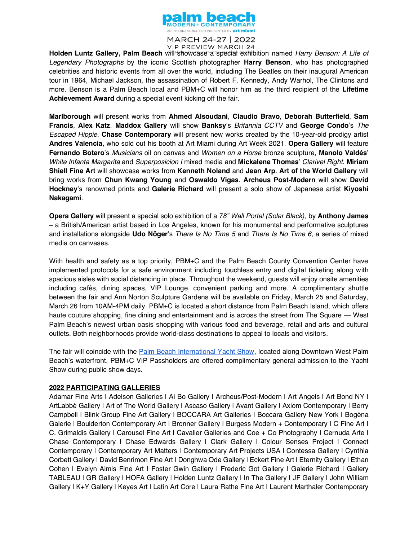

MARCH 24-27 | 2022 **VIP PREVIEW MARCH 24** 

Holden Luntz Gallery, Palm Beach will showcase a special exhibition named *Harry Benson: A Life of Legendary Photographs* by the iconic Scottish photographer **Harry Benson**, who has photographed celebrities and historic events from all over the world, including The Beatles on their inaugural American tour in 1964, Michael Jackson, the assassination of Robert F. Kennedy, Andy Warhol, The Clintons and more. Benson is a Palm Beach local and PBM+C will honor him as the third recipient of the **Lifetime Achievement Award** during a special event kicking off the fair.

**Marlborough** will present works from **Ahmed Alsoudani**, **Claudio Bravo**, **Deborah Butterfield**, **Sam Francis, Alex Katz. Maddox Gallery** will show **Banksy**'s *Britannia CCTV* and George Condo's *The Escaped Hippie*. **Chase Contemporary** will present new works created by the 10-year-old prodigy artist **Andres Valencia,** who sold out his booth at Art Miami during Art Week 2021. **Opera Gallery** will feature **Fernando Botero**'s *Musicians* oil on canvas and *Women on a Horse* bronze sculpture, **Manolo Valdés**' *White Infanta Margarita* and *Superposicion I* mixed media and Mickalene Thomas' Clarivel Right. Miriam **Shiell Fine Art** will showcase works from **Kenneth Noland** and **Jean Arp**. **Art of the World Gallery** will bring works from **Chun Kwang Young** and **Oswaldo Vigas**. **Archeus Post-Modern** will show **David**  Hockney's renowned prints and Galerie Richard will present a solo show of Japanese artist Kiyoshi **Nakagami**.

**Opera Gallery** will present a special solo exhibition of a 78" Wall Portal (Solar Black), by **Anthony James**  $-$  a British/American artist based in Los Angeles, known for his monumental and performative sculptures and installations alongside **Udo Nöger**'s *There Is No Time 5* and *There Is No Time 6*, a series of mixed media on canvases.

With health and safety as a top priority, PBM+C and the Palm Beach County Convention Center have implemented protocols for a safe environment including touchless entry and digital ticketing along with spacious aisles with social distancing in place. Throughout the weekend, guests will enjoy onsite amenities including cafés, dining spaces, VIP Lounge, convenient parking and more. A complimentary shuttle between the fair and Ann Norton Sculpture Gardens will be available on Friday, March 25 and Saturday, March 26 from 10AM-4PM daily. PBM+C is located a short distance from Palm Beach Island, which offers haute couture shopping, fine dining and entertainment and is across the street from The Square — West Palm Beach's newest urban oasis shopping with various food and beverage, retail and arts and cultural outlets. Both neighborhoods provide world-class destinations to appeal to locals and visitors.

The fair will coincide with the [Palm Beach International Yacht Show,](https://www.pbboatshow.com/en/home.html) located along Downtown West Palm Beach's waterfront. PBM+C VIP Passholders are offered complimentary general admission to the Yacht Show during public show days.

# **2022 PARTICIPATING GALLERIES**

Adamar Fine Arts | Adelson Galleries | Ai Bo Gallery | Archeus/Post-Modern | Art Angels | Art Bond NY | ArtLabbé Gallery | Art of The World Gallery | Ascaso Gallery | Avant Gallery | Axiom Contemporary | Berry Campbell | Blink Group Fine Art Gallery | BOCCARA Art Galleries | Boccara Gallery New York | Bogéna Galerie | Boulderton Contemporary Art | Bronner Gallery | Burgess Modern + Contemporary | C Fine Art | C. Grimaldis Gallery | Carousel Fine Art | Cavalier Galleries and Coe + Co Photography | Cernuda Arte | Chase Contemporary | Chase Edwards Gallery | Clark Gallery | Colour Senses Project | Connect Contemporary | Contemporary Art Matters | Contemporary Art Projects USA | Contessa Gallery | Cynthia Corbett Gallery | David Benrimon Fine Art | Donghwa Ode Gallery | Eckert Fine Art | Eternity Gallery | Ethan Cohen | Evelyn Aimis Fine Art | Foster Gwin Gallery | Frederic Got Gallery | Galerie Richard | Gallery TABLEAU | GR Gallery | HOFA Gallery | Holden Luntz Gallery | In The Gallery | JF Gallery | John William Gallery | K+Y Gallery | Keyes Art | Latin Art Core | Laura Rathe Fine Art | Laurent Marthaler Contemporary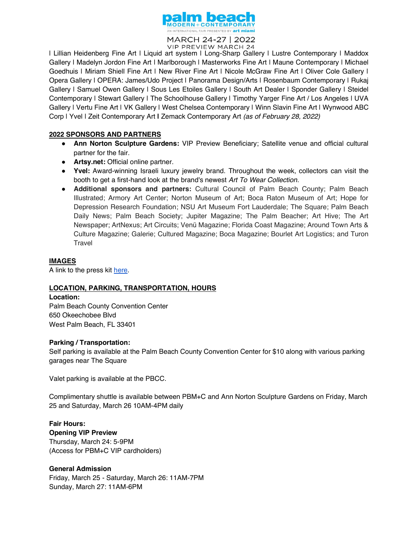

MARCH 24-27 | 2022 **VIP PREVIEW MARCH 24** 

| Lillian Heidenberg Fine Art | Liquid art system | Long-Sharp Gallery | Lustre Contemporary | Maddox Gallery | Madelyn Jordon Fine Art | Marlborough | Masterworks Fine Art | Maune Contemporary | Michael Goedhuis | Miriam Shiell Fine Art | New River Fine Art | Nicole McGraw Fine Art | Oliver Cole Gallery | Opera Gallery | OPERA: James/Udo Project | Panorama Design/Arts | Rosenbaum Contemporary | Rukaj Gallery | Samuel Owen Gallery | Sous Les Etoiles Gallery | South Art Dealer | Sponder Gallery | Steidel Contemporary | Stewart Gallery | The Schoolhouse Gallery | Timothy Yarger Fine Art / Los Angeles | UVA Gallery | Vertu Fine Art | VK Gallery | West Chelsea Contemporary | Winn Slavin Fine Art | Wynwood ABC Corp | Yvel | Zeit Contemporary Art **|** Zemack Contemporary Art *(as of February 28, 2022)*

### **2022 SPONSORS AND PARTNERS**

- Ɣ **Ann Norton Sculpture Gardens:** VIP Preview Beneficiary; Satellite venue and official cultural partner for the fair.
- Ɣ **Artsy.net:** Official online partner.
- Ɣ **Yvel:** Award-winning Israeli luxury jewelry brand. Throughout the week, collectors can visit the booth to get a first-hand look at the brand's newest *Art To Wear Collection*.
- Ɣ **Additional sponsors and partners:** Cultural Council of Palm Beach County; Palm Beach Illustrated; Armory Art Center; Norton Museum of Art; Boca Raton Museum of Art; Hope for Depression Research Foundation; NSU Art Museum Fort Lauderdale; The Square; Palm Beach Daily News; Palm Beach Society; Jupiter Magazine; The Palm Beacher; Art Hive; The Art Newspaper; ArtNexus; Art Circuits; Venü Magazine; Florida Coast Magazine; Around Town Arts & Culture Magazine; Galerie; Cultured Magazine; Boca Magazine; Bourlet Art Logistics; and Turon **Travel**

#### **IMAGES**

A link to the press kit [here.](https://www.dropbox.com/sh/rcjg5oa9vdmeaz2/AADgzsuQBmvsB-IPLc0nZ2t8a?dl=0)

# **LOCATION, PARKING, TRANSPORTATION, HOURS**

#### **Location:**

Palm Beach County Convention Center 650 Okeechobee Blvd West Palm Beach, FL 33401

#### **Parking / Transportation:**

Self parking is available at the Palm Beach County Convention Center for \$10 along with various parking garages near The Square

Valet parking is available at the PBCC.

Complimentary shuttle is available between PBM+C and Ann Norton Sculpture Gardens on Friday, March 25 and Saturday, March 26 10AM-4PM daily

**Fair Hours: Opening VIP Preview** Thursday, March 24: 5-9PM (Access for PBM+C VIP cardholders)

#### **General Admission**

Friday, March 25 - Saturday, March 26: 11AM-7PM Sunday, March 27: 11AM-6PM